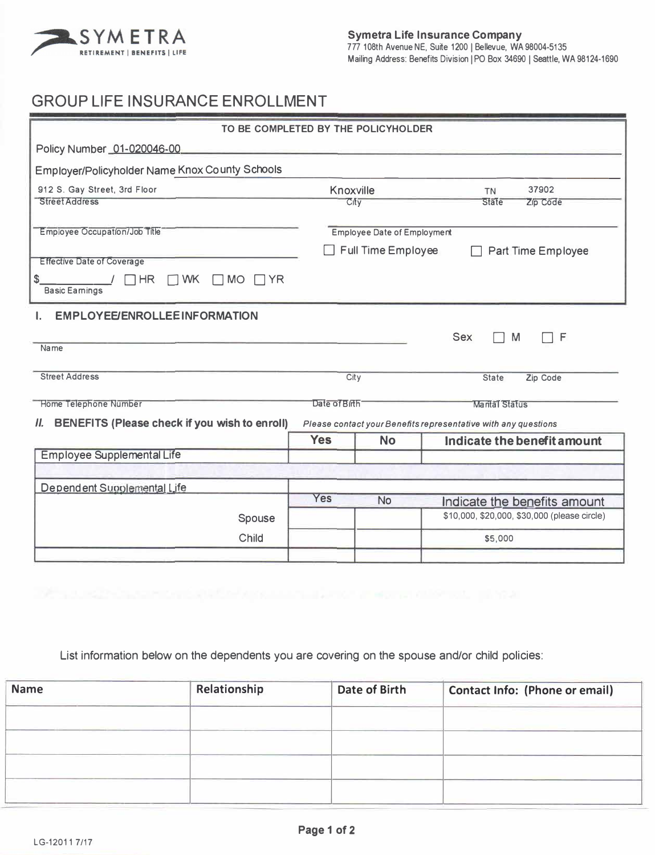

## **GROUP LIFE INSURANCE ENROLLMENT**

| TO BE COMPLETED BY THE POLICYHOLDER                                                                                   |                                                        |             |                                                                              |  |  |  |  |  |
|-----------------------------------------------------------------------------------------------------------------------|--------------------------------------------------------|-------------|------------------------------------------------------------------------------|--|--|--|--|--|
| Policy Number 01-020046-00                                                                                            |                                                        |             |                                                                              |  |  |  |  |  |
| <b>Employer/Policyholder Name Knox County Schools</b>                                                                 |                                                        |             |                                                                              |  |  |  |  |  |
| 912 S. Gay Street, 3rd Floor                                                                                          | Knoxville                                              |             | 37902<br><b>TN</b>                                                           |  |  |  |  |  |
| <b>Street Address</b>                                                                                                 |                                                        | <b>City</b> | <b>State</b><br>Zip Code                                                     |  |  |  |  |  |
| Employee Occupation/Job Title                                                                                         | <b>Employee Date of Employment</b>                     |             |                                                                              |  |  |  |  |  |
|                                                                                                                       | <b>Full Time Employee</b><br><b>Part Time Employee</b> |             |                                                                              |  |  |  |  |  |
| <b>Effective Date of Coverage</b>                                                                                     |                                                        |             |                                                                              |  |  |  |  |  |
| \$<br><b>HR</b><br><b>WK</b><br><b>MO</b><br>$\Box$ YR<br>I.<br><b>Basic Eamings</b>                                  |                                                        |             |                                                                              |  |  |  |  |  |
| <b>EMPLOYEE/ENROLLEE INFORMATION</b>                                                                                  |                                                        |             |                                                                              |  |  |  |  |  |
|                                                                                                                       |                                                        |             | <b>Sex</b><br>F<br>M                                                         |  |  |  |  |  |
| Name                                                                                                                  |                                                        |             |                                                                              |  |  |  |  |  |
| <b>Street Address</b>                                                                                                 | City                                                   |             | Zip Code<br><b>State</b>                                                     |  |  |  |  |  |
| <b>Home Telephone Number</b>                                                                                          | Date of Birth<br><b>Marital Status</b>                 |             |                                                                              |  |  |  |  |  |
| BENEFITS (Please check if you wish to enroll)<br>Н.<br>Please contact your Benefits representative with any questions |                                                        |             |                                                                              |  |  |  |  |  |
|                                                                                                                       | <b>Yes</b>                                             | <b>No</b>   | Indicate the benefit amount                                                  |  |  |  |  |  |
| <b>Employee Supplemental Life</b>                                                                                     |                                                        |             |                                                                              |  |  |  |  |  |
|                                                                                                                       |                                                        |             |                                                                              |  |  |  |  |  |
| Dependent Supplemental Life                                                                                           | <b>Yes</b>                                             | <b>No</b>   |                                                                              |  |  |  |  |  |
| Spouse                                                                                                                |                                                        |             | Indicate the benefits amount<br>\$10,000, \$20,000, \$30,000 (please circle) |  |  |  |  |  |
| Child                                                                                                                 | \$5,000                                                |             |                                                                              |  |  |  |  |  |
|                                                                                                                       |                                                        |             |                                                                              |  |  |  |  |  |

## List information below on the dependents you are covering on the spouse and/or child policies:

| <b>Name</b> | Relationship | <b>Date of Birth</b> | <b>Contact Info: (Phone or email)</b> |  |  |
|-------------|--------------|----------------------|---------------------------------------|--|--|
|             |              |                      |                                       |  |  |
|             |              |                      |                                       |  |  |
|             |              |                      |                                       |  |  |
|             |              |                      |                                       |  |  |